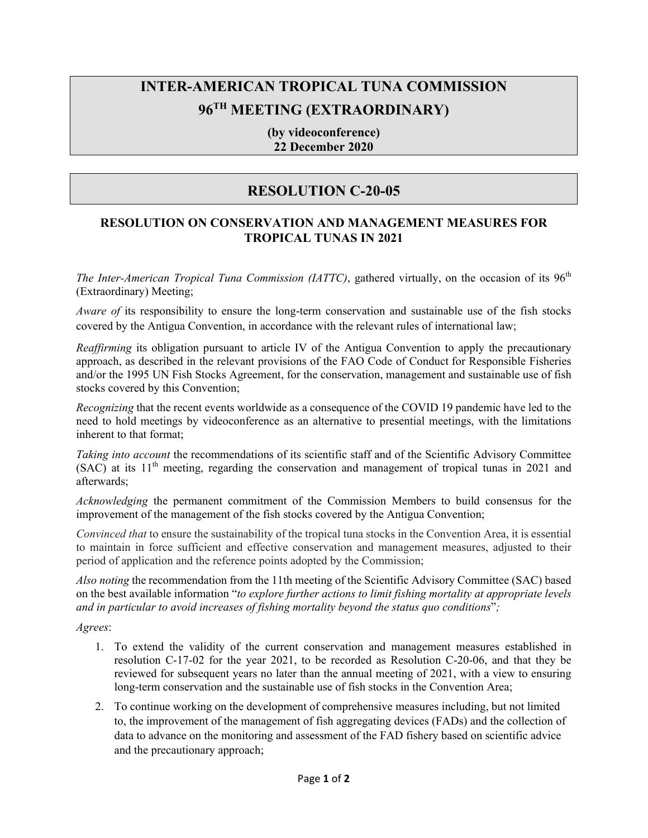## **INTER-AMERICAN TROPICAL TUNA COMMISSION 96TH MEETING (EXTRAORDINARY)**

**(by videoconference) 22 December 2020** 

## **RESOLUTION C-20-05**

## **RESOLUTION ON CONSERVATION AND MANAGEMENT MEASURES FOR TROPICAL TUNAS IN 2021**

*The Inter-American Tropical Tuna Commission (IATTC)*, gathered virtually, on the occasion of its 96<sup>th</sup> (Extraordinary) Meeting;

*Aware of* its responsibility to ensure the long-term conservation and sustainable use of the fish stocks covered by the Antigua Convention, in accordance with the relevant rules of international law;

*Reaffirming* its obligation pursuant to article IV of the Antigua Convention to apply the precautionary approach, as described in the relevant provisions of the FAO Code of Conduct for Responsible Fisheries and/or the 1995 UN Fish Stocks Agreement, for the conservation, management and sustainable use of fish stocks covered by this Convention;

*Recognizing* that the recent events worldwide as a consequence of the COVID 19 pandemic have led to the need to hold meetings by videoconference as an alternative to presential meetings, with the limitations inherent to that format;

*Taking into account* the recommendations of its scientific staff and of the Scientific Advisory Committee  $(SAC)$  at its  $11<sup>th</sup>$  meeting, regarding the conservation and management of tropical tunas in 2021 and afterwards;

*Acknowledging* the permanent commitment of the Commission Members to build consensus for the improvement of the management of the fish stocks covered by the Antigua Convention;

*Convinced that* to ensure the sustainability of the tropical tuna stocks in the Convention Area, it is essential to maintain in force sufficient and effective conservation and management measures, adjusted to their period of application and the reference points adopted by the Commission;

*Also noting* the recommendation from the 11th meeting of the Scientific Advisory Committee (SAC) based on the best available information "*to explore further actions to limit fishing mortality at appropriate levels and in particular to avoid increases of fishing mortality beyond the status quo conditions*"*;*

*Agrees*:

- 1. To extend the validity of the current conservation and management measures established in resolution C-17-02 for the year 2021, to be recorded as Resolution C-20-06, and that they be reviewed for subsequent years no later than the annual meeting of 2021, with a view to ensuring long-term conservation and the sustainable use of fish stocks in the Convention Area;
- 2. To continue working on the development of comprehensive measures including, but not limited to, the improvement of the management of fish aggregating devices (FADs) and the collection of data to advance on the monitoring and assessment of the FAD fishery based on scientific advice and the precautionary approach;